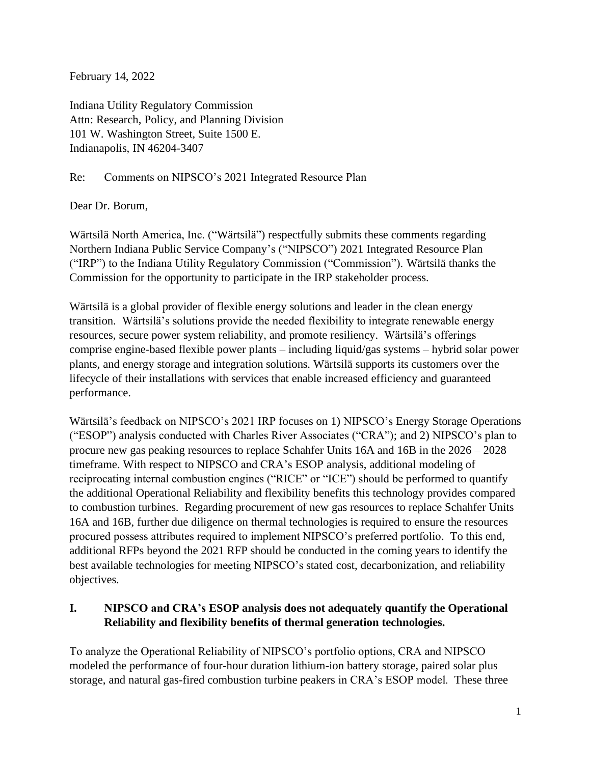February 14, 2022

Indiana Utility Regulatory Commission Attn: Research, Policy, and Planning Division 101 W. Washington Street, Suite 1500 E. Indianapolis, IN 46204-3407

Re: Comments on NIPSCO's 2021 Integrated Resource Plan

Dear Dr. Borum,

Wärtsilä North America, Inc. ("Wärtsilä") respectfully submits these comments regarding Northern Indiana Public Service Company's ("NIPSCO") 2021 Integrated Resource Plan ("IRP") to the Indiana Utility Regulatory Commission ("Commission"). Wärtsilä thanks the Commission for the opportunity to participate in the IRP stakeholder process.

Wärtsilä is a global provider of flexible energy solutions and leader in the clean energy transition. Wärtsilä's solutions provide the needed flexibility to integrate renewable energy resources, secure power system reliability, and promote resiliency. Wärtsilä's offerings comprise engine-based flexible power plants – including liquid/gas systems – hybrid solar power plants, and energy storage and integration solutions. Wärtsilä supports its customers over the lifecycle of their installations with services that enable increased efficiency and guaranteed performance.

Wärtsilä's feedback on NIPSCO's 2021 IRP focuses on 1) NIPSCO's Energy Storage Operations ("ESOP") analysis conducted with Charles River Associates ("CRA"); and 2) NIPSCO's plan to procure new gas peaking resources to replace Schahfer Units 16A and 16B in the 2026 – 2028 timeframe. With respect to NIPSCO and CRA's ESOP analysis, additional modeling of reciprocating internal combustion engines ("RICE" or "ICE") should be performed to quantify the additional Operational Reliability and flexibility benefits this technology provides compared to combustion turbines. Regarding procurement of new gas resources to replace Schahfer Units 16A and 16B, further due diligence on thermal technologies is required to ensure the resources procured possess attributes required to implement NIPSCO's preferred portfolio. To this end, additional RFPs beyond the 2021 RFP should be conducted in the coming years to identify the best available technologies for meeting NIPSCO's stated cost, decarbonization, and reliability objectives.

## **I. NIPSCO and CRA's ESOP analysis does not adequately quantify the Operational Reliability and flexibility benefits of thermal generation technologies.**

To analyze the Operational Reliability of NIPSCO's portfolio options, CRA and NIPSCO modeled the performance of four-hour duration lithium-ion battery storage, paired solar plus storage, and natural gas-fired combustion turbine peakers in CRA's ESOP model. These three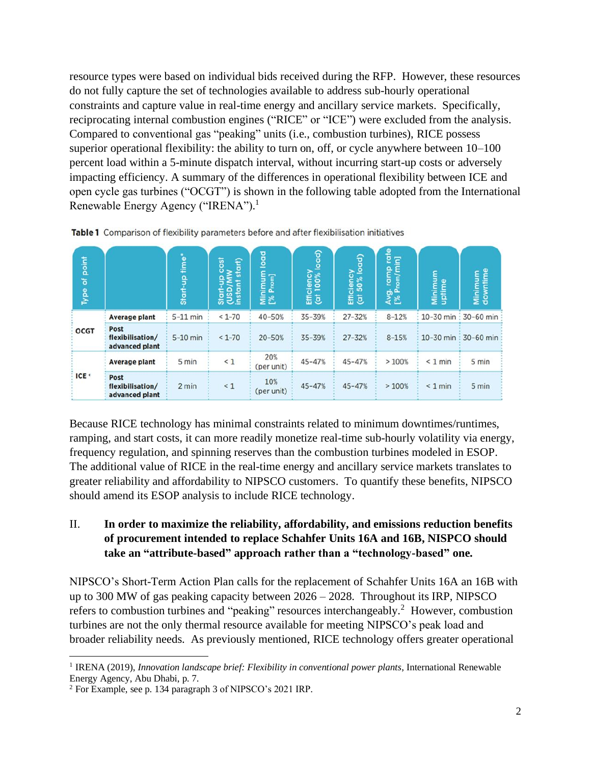resource types were based on individual bids received during the RFP. However, these resources do not fully capture the set of technologies available to address sub-hourly operational constraints and capture value in real-time energy and ancillary service markets. Specifically, reciprocating internal combustion engines ("RICE" or "ICE") were excluded from the analysis. Compared to conventional gas "peaking" units (i.e., combustion turbines), RICE possess superior operational flexibility: the ability to turn on, off, or cycle anywhere between 10–100 percent load within a 5-minute dispatch interval, without incurring start-up costs or adversely impacting efficiency. A summary of the differences in operational flexibility between ICE and open cycle gas turbines ("OCGT") is shown in the following table adopted from the International Renewable Energy Agency ("IRENA").<sup>1</sup>

| Type of point    |                                            | time*<br>Start-up | iso<br>start)<br>욬<br>Start-up<br>(USD/M<br>instant | load<br>Minimum<br>[% Prom] | Efficiency<br>(at 100% load) | Efficiency<br>(at 50% load) | Avg. ramp rate<br>[% Pnom/min] | Minimum<br>uptime | Minimum<br>downtime               |
|------------------|--------------------------------------------|-------------------|-----------------------------------------------------|-----------------------------|------------------------------|-----------------------------|--------------------------------|-------------------|-----------------------------------|
| <b>OCGT</b>      | <b>Average plant</b>                       | $5-11$ min        | $< 1 - 70$                                          | 40-50%                      | 35-39%                       | $27 - 32%$                  | $8 - 12%$                      |                   | 10-30 min $\frac{1}{2}$ 30-60 min |
|                  | Post<br>flexibilisation/<br>advanced plant | $5-10$ min        | $< 1 - 70$                                          | $20 - 50%$                  | 35-39%                       | $27 - 32%$                  | $8 - 15%$                      |                   | 10-30 min : 30-60 min             |
| ICE <sup>c</sup> | <b>Average plant</b>                       | 5 min             | $\leq 1$                                            | 20%<br>(per unit)           | 45-47%                       | $45 - 47%$                  | >100%                          | $< 1$ min         | 5 min                             |
|                  | Post<br>flexibilisation/<br>advanced plant | 2 min             | $\leq 1$                                            | 10%<br>(per unit)           | 45-47%                       | $45 - 47%$                  | >100%                          | $< 1$ min         | 5 min                             |

Table 1 Comparison of flexibility parameters before and after flexibilisation initiatives

Because RICE technology has minimal constraints related to minimum downtimes/runtimes, ramping, and start costs, it can more readily monetize real-time sub-hourly volatility via energy, frequency regulation, and spinning reserves than the combustion turbines modeled in ESOP. The additional value of RICE in the real-time energy and ancillary service markets translates to greater reliability and affordability to NIPSCO customers. To quantify these benefits, NIPSCO should amend its ESOP analysis to include RICE technology.

## II. **In order to maximize the reliability, affordability, and emissions reduction benefits of procurement intended to replace Schahfer Units 16A and 16B, NISPCO should take an "attribute-based" approach rather than a "technology-based" one.**

NIPSCO's Short-Term Action Plan calls for the replacement of Schahfer Units 16A an 16B with up to 300 MW of gas peaking capacity between 2026 – 2028. Throughout its IRP, NIPSCO refers to combustion turbines and "peaking" resources interchangeably.<sup>2</sup> However, combustion turbines are not the only thermal resource available for meeting NIPSCO's peak load and broader reliability needs. As previously mentioned, RICE technology offers greater operational

<sup>&</sup>lt;sup>1</sup> IRENA (2019), *Innovation landscape brief: Flexibility in conventional power plants*, International Renewable Energy Agency, Abu Dhabi, p. 7.

<sup>2</sup> For Example, see p. 134 paragraph 3 of NIPSCO's 2021 IRP.